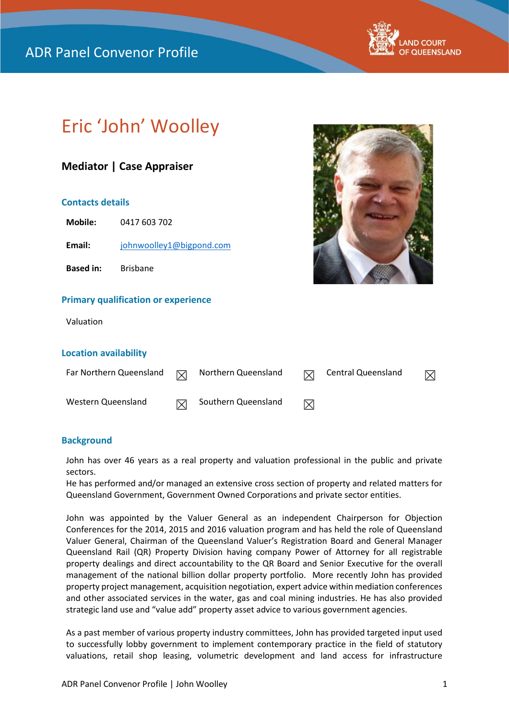## ADR Panel Convenor Profile



# Eric 'John' Woolley

### **Mediator | Case Appraiser**

#### **Contacts details**

**Mobile:** 0417 603 702

Email: [johnwoolley1@bigpond.com](mailto:johnwoolley1@bigpond.com)

**Based in:** Brisbane

#### **Primary qualification or experience**

Valuation

#### **Location availability**

| Far Northern Queensland | ∇ | Northern Queensland | 冈 | Central Queensland |  |
|-------------------------|---|---------------------|---|--------------------|--|
| Western Queensland      | M | Southern Queensland | ⊠ |                    |  |

#### **Background**

John has over 46 years as a real property and valuation professional in the public and private sectors.

He has performed and/or managed an extensive cross section of property and related matters for Queensland Government, Government Owned Corporations and private sector entities.

John was appointed by the Valuer General as an independent Chairperson for Objection Conferences for the 2014, 2015 and 2016 valuation program and has held the role of Queensland Valuer General, Chairman of the Queensland Valuer's Registration Board and General Manager Queensland Rail (QR) Property Division having company Power of Attorney for all registrable property dealings and direct accountability to the QR Board and Senior Executive for the overall management of the national billion dollar property portfolio. More recently John has provided property project management, acquisition negotiation, expert advice within mediation conferences and other associated services in the water, gas and coal mining industries. He has also provided strategic land use and "value add" property asset advice to various government agencies.

As a past member of various property industry committees, John has provided targeted input used to successfully lobby government to implement contemporary practice in the field of statutory valuations, retail shop leasing, volumetric development and land access for infrastructure